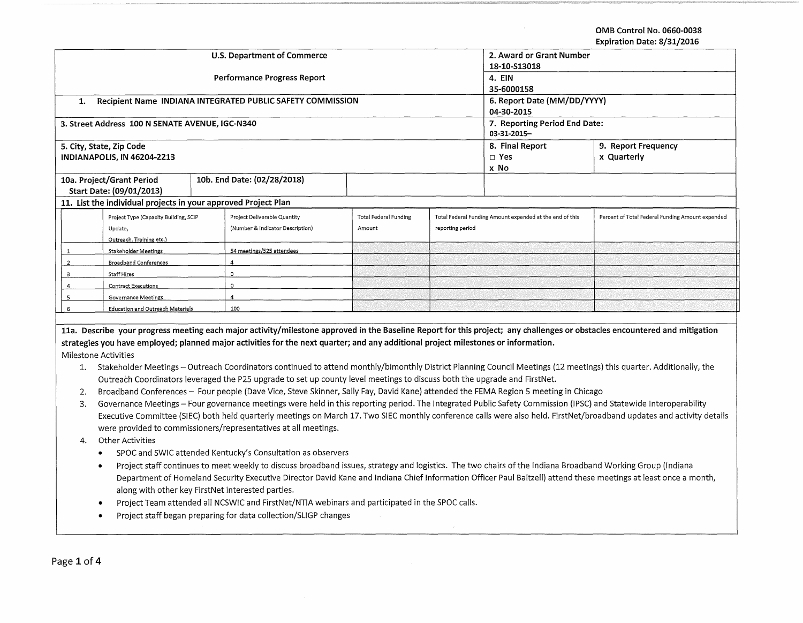**OMB Control No. 0660-0038** 

 $\sim$   $-$ 

|                                                                                                                                                                                                |                                                                                                                                                                  |  |                                                                                                                                                            |                               |                     |                                                          | Expiration Date: 8/31/2016                                                                                                                                                 |  |
|------------------------------------------------------------------------------------------------------------------------------------------------------------------------------------------------|------------------------------------------------------------------------------------------------------------------------------------------------------------------|--|------------------------------------------------------------------------------------------------------------------------------------------------------------|-------------------------------|---------------------|----------------------------------------------------------|----------------------------------------------------------------------------------------------------------------------------------------------------------------------------|--|
|                                                                                                                                                                                                |                                                                                                                                                                  |  | <b>U.S. Department of Commerce</b>                                                                                                                         | 2. Award or Grant Number      |                     |                                                          |                                                                                                                                                                            |  |
|                                                                                                                                                                                                |                                                                                                                                                                  |  |                                                                                                                                                            | 18-10-S13018                  |                     |                                                          |                                                                                                                                                                            |  |
|                                                                                                                                                                                                |                                                                                                                                                                  |  | <b>Performance Progress Report</b>                                                                                                                         | 4. EIN                        |                     |                                                          |                                                                                                                                                                            |  |
|                                                                                                                                                                                                |                                                                                                                                                                  |  |                                                                                                                                                            | 35-6000158                    |                     |                                                          |                                                                                                                                                                            |  |
| 1.                                                                                                                                                                                             |                                                                                                                                                                  |  | Recipient Name INDIANA INTEGRATED PUBLIC SAFETY COMMISSION                                                                                                 | 6. Report Date (MM/DD/YYYY)   |                     |                                                          |                                                                                                                                                                            |  |
|                                                                                                                                                                                                |                                                                                                                                                                  |  |                                                                                                                                                            | 04-30-2015                    |                     |                                                          |                                                                                                                                                                            |  |
|                                                                                                                                                                                                | 3. Street Address 100 N SENATE AVENUE, IGC-N340                                                                                                                  |  |                                                                                                                                                            | 7. Reporting Period End Date: |                     |                                                          |                                                                                                                                                                            |  |
|                                                                                                                                                                                                |                                                                                                                                                                  |  |                                                                                                                                                            | 03-31-2015-                   |                     |                                                          |                                                                                                                                                                            |  |
|                                                                                                                                                                                                | 5. City, State, Zip Code                                                                                                                                         |  |                                                                                                                                                            | 8. Final Report               | 9. Report Frequency |                                                          |                                                                                                                                                                            |  |
|                                                                                                                                                                                                | <b>INDIANAPOLIS, IN 46204-2213</b>                                                                                                                               |  |                                                                                                                                                            | $\Box$ Yes                    | x Quarterly         |                                                          |                                                                                                                                                                            |  |
|                                                                                                                                                                                                |                                                                                                                                                                  |  |                                                                                                                                                            | x No                          |                     |                                                          |                                                                                                                                                                            |  |
|                                                                                                                                                                                                | 10a. Project/Grant Period                                                                                                                                        |  | 10b. End Date: (02/28/2018)                                                                                                                                |                               |                     |                                                          |                                                                                                                                                                            |  |
|                                                                                                                                                                                                | Start Date: (09/01/2013)                                                                                                                                         |  |                                                                                                                                                            |                               |                     |                                                          |                                                                                                                                                                            |  |
|                                                                                                                                                                                                | 11. List the individual projects in your approved Project Plan                                                                                                   |  |                                                                                                                                                            |                               |                     |                                                          |                                                                                                                                                                            |  |
|                                                                                                                                                                                                |                                                                                                                                                                  |  | Project Deliverable Quantity                                                                                                                               | <b>Total Federal Funding</b>  |                     | Total Federal Funding Amount expended at the end of this | Percent of Total Federal Funding Amount expended                                                                                                                           |  |
|                                                                                                                                                                                                | Project Type (Capacity Building, SCIP                                                                                                                            |  | (Number & Indicator Description)                                                                                                                           | Amount                        | reporting period    |                                                          |                                                                                                                                                                            |  |
|                                                                                                                                                                                                | Update,                                                                                                                                                          |  |                                                                                                                                                            |                               |                     |                                                          |                                                                                                                                                                            |  |
|                                                                                                                                                                                                | Outreach, Training etc.)                                                                                                                                         |  | 54 meetings/525 attendees                                                                                                                                  |                               |                     |                                                          |                                                                                                                                                                            |  |
| $\overline{2}$                                                                                                                                                                                 | <b>Stakeholder Meetings</b>                                                                                                                                      |  | $\overline{4}$                                                                                                                                             |                               |                     |                                                          |                                                                                                                                                                            |  |
| $\mathbf{3}$                                                                                                                                                                                   | <b>Broadband Conferences</b>                                                                                                                                     |  | $\Omega$                                                                                                                                                   |                               |                     |                                                          |                                                                                                                                                                            |  |
|                                                                                                                                                                                                | <b>Staff Hires</b>                                                                                                                                               |  | $\Omega$                                                                                                                                                   |                               |                     |                                                          |                                                                                                                                                                            |  |
| $\overline{4}$                                                                                                                                                                                 | <b>Contract Executions</b>                                                                                                                                       |  | $\overline{4}$                                                                                                                                             |                               |                     |                                                          |                                                                                                                                                                            |  |
| 5                                                                                                                                                                                              | <b>Governance Meetings</b>                                                                                                                                       |  |                                                                                                                                                            |                               |                     |                                                          |                                                                                                                                                                            |  |
| 100<br>$6^{\circ}$<br><b>Education and Outreach Materials</b>                                                                                                                                  |                                                                                                                                                                  |  |                                                                                                                                                            |                               |                     |                                                          |                                                                                                                                                                            |  |
|                                                                                                                                                                                                |                                                                                                                                                                  |  |                                                                                                                                                            |                               |                     |                                                          | 11a. Describe your progress meeting each major activity/milestone approved in the Baseline Report for this project; any challenges or obstacles encountered and mitigation |  |
|                                                                                                                                                                                                |                                                                                                                                                                  |  | strategies you have employed; planned major activities for the next quarter; and any additional project milestones or information.                         |                               |                     |                                                          |                                                                                                                                                                            |  |
|                                                                                                                                                                                                |                                                                                                                                                                  |  |                                                                                                                                                            |                               |                     |                                                          |                                                                                                                                                                            |  |
| Milestone Activities<br>1. Stakeholder Meetings - Outreach Coordinators continued to attend monthly/bimonthly District Planning Council Meetings (12 meetings) this quarter. Additionally, the |                                                                                                                                                                  |  |                                                                                                                                                            |                               |                     |                                                          |                                                                                                                                                                            |  |
|                                                                                                                                                                                                |                                                                                                                                                                  |  |                                                                                                                                                            |                               |                     |                                                          |                                                                                                                                                                            |  |
|                                                                                                                                                                                                |                                                                                                                                                                  |  | Outreach Coordinators leveraged the P25 upgrade to set up county level meetings to discuss both the upgrade and FirstNet.                                  |                               |                     |                                                          |                                                                                                                                                                            |  |
| 2.                                                                                                                                                                                             |                                                                                                                                                                  |  | Broadband Conferences - Four people (Dave Vice, Steve Skinner, Sally Fay, David Kane) attended the FEMA Region 5 meeting in Chicago                        |                               |                     |                                                          |                                                                                                                                                                            |  |
| 3.                                                                                                                                                                                             | Governance Meetings - Four governance meetings were held in this reporting period. The Integrated Public Safety Commission (IPSC) and Statewide Interoperability |  |                                                                                                                                                            |                               |                     |                                                          |                                                                                                                                                                            |  |
|                                                                                                                                                                                                |                                                                                                                                                                  |  |                                                                                                                                                            |                               |                     |                                                          | Executive Committee (SIEC) both held quarterly meetings on March 17. Two SIEC monthly conference calls were also held. FirstNet/broadband updates and activity details     |  |
|                                                                                                                                                                                                | were provided to commissioners/representatives at all meetings.                                                                                                  |  |                                                                                                                                                            |                               |                     |                                                          |                                                                                                                                                                            |  |
| Other Activities<br>4.                                                                                                                                                                         |                                                                                                                                                                  |  |                                                                                                                                                            |                               |                     |                                                          |                                                                                                                                                                            |  |
| SPOC and SWIC attended Kentucky's Consultation as observers<br>$\bullet$                                                                                                                       |                                                                                                                                                                  |  |                                                                                                                                                            |                               |                     |                                                          |                                                                                                                                                                            |  |
| $\bullet$                                                                                                                                                                                      |                                                                                                                                                                  |  | Project staff continues to meet weekly to discuss broadband issues, strategy and logistics. The two chairs of the Indiana Broadband Working Group (Indiana |                               |                     |                                                          |                                                                                                                                                                            |  |
|                                                                                                                                                                                                |                                                                                                                                                                  |  |                                                                                                                                                            |                               |                     |                                                          |                                                                                                                                                                            |  |
|                                                                                                                                                                                                | Department of Homeland Security Executive Director David Kane and Indiana Chief Information Officer Paul Baltzell) attend these meetings at least once a month,  |  |                                                                                                                                                            |                               |                     |                                                          |                                                                                                                                                                            |  |
|                                                                                                                                                                                                | along with other key FirstNet interested parties.                                                                                                                |  |                                                                                                                                                            |                               |                     |                                                          |                                                                                                                                                                            |  |
|                                                                                                                                                                                                | Project Team attended all NCSWIC and FirstNet/NTIA webinars and participated in the SPOC calls.                                                                  |  |                                                                                                                                                            |                               |                     |                                                          |                                                                                                                                                                            |  |
|                                                                                                                                                                                                | Project staff began preparing for data collection/SLIGP changes                                                                                                  |  |                                                                                                                                                            |                               |                     |                                                          |                                                                                                                                                                            |  |
|                                                                                                                                                                                                |                                                                                                                                                                  |  |                                                                                                                                                            |                               |                     |                                                          |                                                                                                                                                                            |  |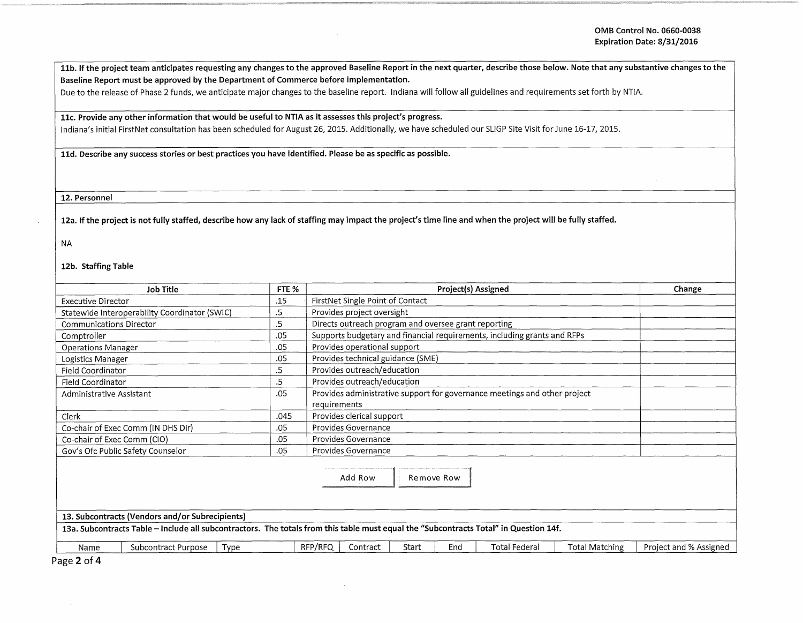11b. If the project team anticipates requesting any changes to the approved Baseline Report in the next quarter, describe those below. Note that any substantive changes to the Baseline Report must be approved by the Department of Commerce before implementation.

Due to the release of Phase 2 funds, we anticipate major changes to the baseline report. Indiana will follow all guidelines and requirements set forth by NTIA.

## 11c. Provide any other information that would be useful to NTIA as it assesses this project's progress.

Indiana's initial FirstNet consultation has been scheduled for August 26, 2015. Additionally, we have scheduled our SLIGP Site Visit for June 16-17, 2015.

11d. Describe any success stories or best practices you have identified. Please be as specific as possible.

12. Personnel

12a. If the project is not fully staffed, describe how any lack of staffing may impact the project's time line and when the project will be fully staffed.

## NA

12b. Staffing Table

| <b>Job Title</b>                                                                                                                                                                         |                                                                  | Project(s) Assigned                                                       |                     |            |                                                                          |                       |                        |  |
|------------------------------------------------------------------------------------------------------------------------------------------------------------------------------------------|------------------------------------------------------------------|---------------------------------------------------------------------------|---------------------|------------|--------------------------------------------------------------------------|-----------------------|------------------------|--|
| <b>Executive Director</b>                                                                                                                                                                |                                                                  | FirstNet Single Point of Contact                                          |                     |            |                                                                          |                       |                        |  |
| Statewide Interoperability Coordinator (SWIC)                                                                                                                                            | Provides project oversight                                       |                                                                           |                     |            |                                                                          |                       |                        |  |
| <b>Communications Director</b>                                                                                                                                                           | .5<br>.5<br>Directs outreach program and oversee grant reporting |                                                                           |                     |            |                                                                          |                       |                        |  |
| Comptroller                                                                                                                                                                              | .05                                                              |                                                                           |                     |            | Supports budgetary and financial requirements, including grants and RFPs |                       |                        |  |
| <b>Operations Manager</b>                                                                                                                                                                | .05                                                              | Provides operational support                                              |                     |            |                                                                          |                       |                        |  |
| Logistics Manager                                                                                                                                                                        | .05                                                              | Provides technical guidance (SME)                                         |                     |            |                                                                          |                       |                        |  |
| Field Coordinator                                                                                                                                                                        | Provides outreach/education<br>.5                                |                                                                           |                     |            |                                                                          |                       |                        |  |
| Provides outreach/education<br>.5<br>Field Coordinator                                                                                                                                   |                                                                  |                                                                           |                     |            |                                                                          |                       |                        |  |
| .05<br>Administrative Assistant                                                                                                                                                          |                                                                  | Provides administrative support for governance meetings and other project |                     |            |                                                                          |                       |                        |  |
|                                                                                                                                                                                          |                                                                  | requirements                                                              |                     |            |                                                                          |                       |                        |  |
| Clerk                                                                                                                                                                                    | .045                                                             | Provides clerical support                                                 |                     |            |                                                                          |                       |                        |  |
| Co-chair of Exec Comm (IN DHS Dir)<br>Provides Governance<br>.05                                                                                                                         |                                                                  |                                                                           |                     |            |                                                                          |                       |                        |  |
| Co-chair of Exec Comm (CIO)<br>.05<br>Provides Governance                                                                                                                                |                                                                  |                                                                           |                     |            |                                                                          |                       |                        |  |
| Gov's Ofc Public Safety Counselor                                                                                                                                                        | .05                                                              |                                                                           | Provides Governance |            |                                                                          |                       |                        |  |
| 13. Subcontracts (Vendors and/or Subrecipients)<br>13a. Subcontracts Table - Include all subcontractors. The totals from this table must equal the "Subcontracts Total" in Question 14f. |                                                                  | Add Row                                                                   |                     | Remove Row |                                                                          |                       |                        |  |
|                                                                                                                                                                                          |                                                                  |                                                                           |                     |            |                                                                          |                       |                        |  |
| Subcontract Purpose<br>Type<br>Name                                                                                                                                                      |                                                                  | RFP/RFQ<br>Contract                                                       | Start               | End        | <b>Total Federal</b>                                                     | <b>Total Matching</b> | Project and % Assigned |  |

Page 2 of 4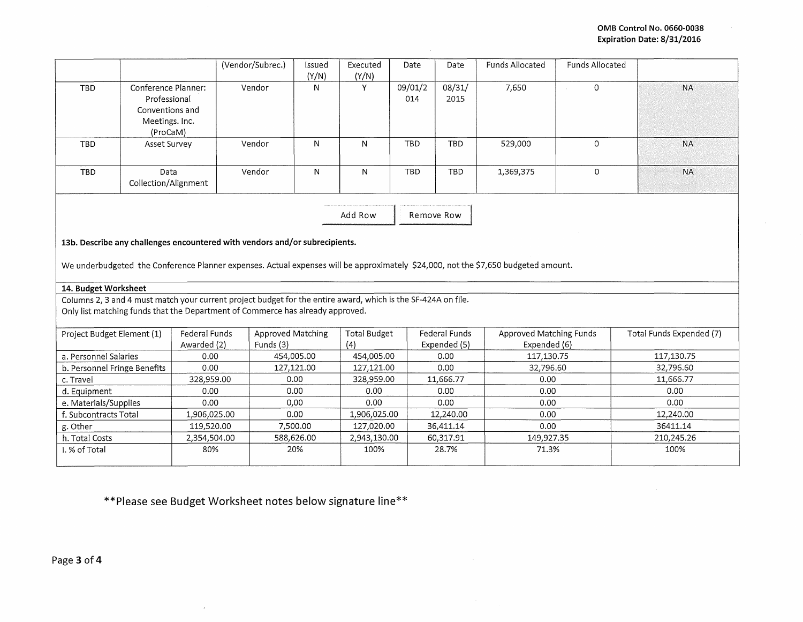|                                                                                                                                    |                                                                                      |                     | (Vendor/Subrec.)                                                                                              | Issued<br>(Y/N) | Executed<br>(Y/N)   | Date           | Date                 | <b>Funds Allocated</b>         | <b>Funds Allocated</b> |                          |
|------------------------------------------------------------------------------------------------------------------------------------|--------------------------------------------------------------------------------------|---------------------|---------------------------------------------------------------------------------------------------------------|-----------------|---------------------|----------------|----------------------|--------------------------------|------------------------|--------------------------|
| <b>TBD</b>                                                                                                                         | Conference Planner:<br>Professional<br>Conventions and<br>Meetings. Inc.<br>(ProCaM) |                     | Vendor                                                                                                        | N               | Y                   | 09/01/2<br>014 | 08/31/<br>2015       | 7,650                          | $\Omega$               | <b>NA</b>                |
| <b>TBD</b>                                                                                                                         | Asset Survey                                                                         |                     | Vendor                                                                                                        | N               | N                   | <b>TBD</b>     | TBD                  | 529,000                        | 0                      | <b>NA</b>                |
| <b>TBD</b>                                                                                                                         | Data<br>Collection/Alignment                                                         |                     | Vendor                                                                                                        | N               | N                   | TBD            | <b>TBD</b>           | 1,369,375                      | 0                      | <b>NA</b>                |
| Add Row<br>Remove Row                                                                                                              |                                                                                      |                     |                                                                                                               |                 |                     |                |                      |                                |                        |                          |
| 13b. Describe any challenges encountered with vendors and/or subrecipients.                                                        |                                                                                      |                     |                                                                                                               |                 |                     |                |                      |                                |                        |                          |
| We underbudgeted the Conference Planner expenses. Actual expenses will be approximately \$24,000, not the \$7,650 budgeted amount. |                                                                                      |                     |                                                                                                               |                 |                     |                |                      |                                |                        |                          |
| 14. Budget Worksheet                                                                                                               |                                                                                      |                     |                                                                                                               |                 |                     |                |                      |                                |                        |                          |
|                                                                                                                                    |                                                                                      |                     | Columns 2, 3 and 4 must match your current project budget for the entire award, which is the SF-424A on file. |                 |                     |                |                      |                                |                        |                          |
|                                                                                                                                    |                                                                                      |                     | Only list matching funds that the Department of Commerce has already approved.                                |                 |                     |                |                      |                                |                        |                          |
|                                                                                                                                    |                                                                                      |                     |                                                                                                               |                 |                     |                |                      |                                |                        |                          |
| Project Budget Element (1)                                                                                                         |                                                                                      | Federal Funds       | <b>Approved Matching</b>                                                                                      |                 | <b>Total Budget</b> |                | Federal Funds        | <b>Approved Matching Funds</b> |                        | Total Funds Expended (7) |
| a. Personnel Salaries                                                                                                              |                                                                                      | Awarded (2)<br>0.00 | Funds (3)                                                                                                     | 454,005.00      | (4)<br>454,005.00   |                | Expended (5)<br>0.00 | Expended (6)<br>117,130.75     |                        | 117,130.75               |
| b. Personnel Fringe Benefits                                                                                                       |                                                                                      | 0.00                | 127,121.00                                                                                                    |                 | 127,121.00          |                | 0.00                 | 32.796.60                      |                        | 32,796.60                |
| c. Travel                                                                                                                          |                                                                                      | 328,959.00          | 0.00                                                                                                          |                 | 328,959.00          |                | 11,666.77            | 0.00                           |                        | 11,666.77                |
| d. Equipment                                                                                                                       |                                                                                      | 0.00                |                                                                                                               | 0.00            | 0.00                |                | 0.00                 | 0.00                           |                        | 0.00                     |
| e. Materials/Supplies                                                                                                              |                                                                                      | 0.00                | 0,00                                                                                                          |                 | 0.00                |                | 0.00                 | 0.00                           |                        | 0.00                     |
| f. Subcontracts Total                                                                                                              |                                                                                      | 1,906,025.00        |                                                                                                               | 0.00            | 1,906,025.00        |                | 12,240.00            | 0.00                           |                        | 12,240.00                |
| g. Other                                                                                                                           |                                                                                      | 119,520.00          |                                                                                                               | 7,500.00        | 127,020.00          |                | 36,411.14            | 0.00                           |                        | 36411.14                 |
| h. Total Costs                                                                                                                     |                                                                                      | 2,354,504.00        |                                                                                                               | 588,626.00      | 2,943,130.00        |                | 60,317.91            | 149,927.35                     |                        | 210,245.26               |
| i. % of Total                                                                                                                      |                                                                                      | 80%                 |                                                                                                               | 20%             | 100%                |                | 28.7%                | 71.3%                          |                        | 100%                     |
|                                                                                                                                    |                                                                                      |                     |                                                                                                               |                 |                     |                |                      |                                |                        |                          |

 $\mathcal{L}$ 

**\*\*Please see Budget Worksheet notes below signature line\*\*** 

 $\bar{x}$